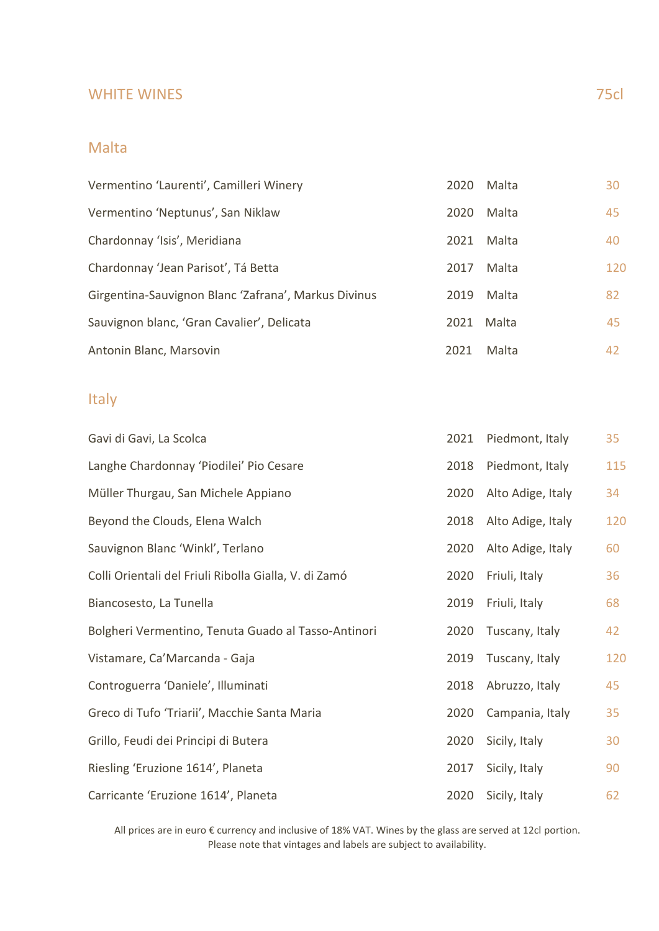#### WHITE WINES 75cl

#### Malta

| Vermentino 'Laurenti', Camilleri Winery              | 2020 | Malta | 30  |
|------------------------------------------------------|------|-------|-----|
| Vermentino 'Neptunus', San Niklaw                    | 2020 | Malta | 45  |
| Chardonnay 'Isis', Meridiana                         | 2021 | Malta | 40  |
| Chardonnay 'Jean Parisot', Tá Betta                  | 2017 | Malta | 120 |
| Girgentina-Sauvignon Blanc 'Zafrana', Markus Divinus | 2019 | Malta | 82  |
| Sauvignon blanc, 'Gran Cavalier', Delicata           | 2021 | Malta | 45  |
| Antonin Blanc, Marsovin                              | 2021 | Malta | 42  |

## Italy

| Gavi di Gavi, La Scolca                               | 2021 | Piedmont, Italy   | 35  |
|-------------------------------------------------------|------|-------------------|-----|
| Langhe Chardonnay 'Piodilei' Pio Cesare               | 2018 | Piedmont, Italy   | 115 |
| Müller Thurgau, San Michele Appiano                   | 2020 | Alto Adige, Italy | 34  |
| Beyond the Clouds, Elena Walch                        | 2018 | Alto Adige, Italy | 120 |
| Sauvignon Blanc 'Winkl', Terlano                      | 2020 | Alto Adige, Italy | 60  |
| Colli Orientali del Friuli Ribolla Gialla, V. di Zamó | 2020 | Friuli, Italy     | 36  |
| Biancosesto, La Tunella                               | 2019 | Friuli, Italy     | 68  |
| Bolgheri Vermentino, Tenuta Guado al Tasso-Antinori   | 2020 | Tuscany, Italy    | 42  |
| Vistamare, Ca'Marcanda - Gaja                         | 2019 | Tuscany, Italy    | 120 |
| Controguerra 'Daniele', Illuminati                    | 2018 | Abruzzo, Italy    | 45  |
| Greco di Tufo 'Triarii', Macchie Santa Maria          | 2020 | Campania, Italy   | 35  |
| Grillo, Feudi dei Principi di Butera                  | 2020 | Sicily, Italy     | 30  |
| Riesling 'Eruzione 1614', Planeta                     | 2017 | Sicily, Italy     | 90  |
| Carricante 'Eruzione 1614', Planeta                   | 2020 | Sicily, Italy     | 62  |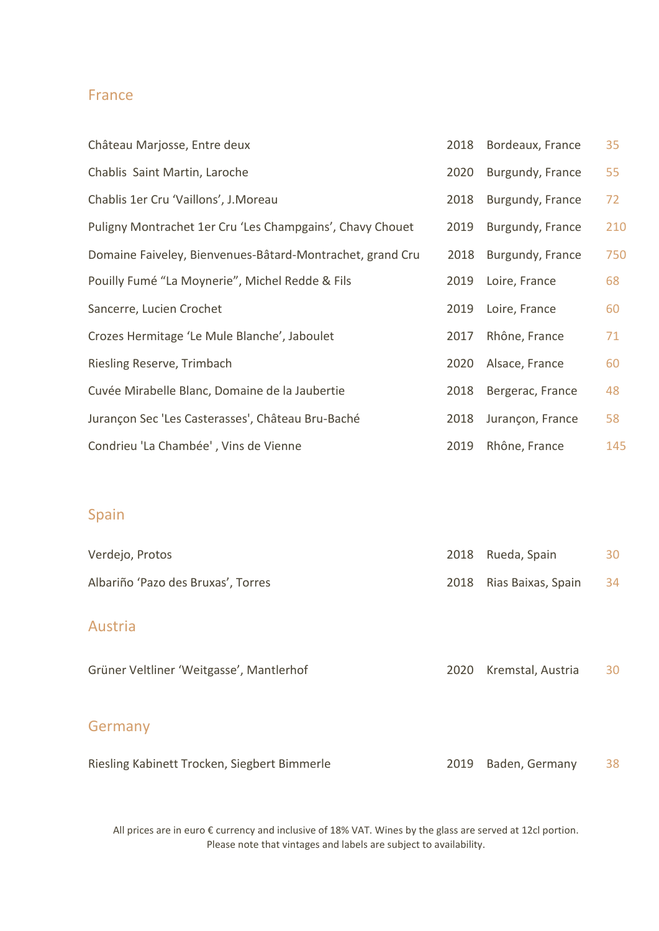### France

| Château Marjosse, Entre deux                              | 2018 | Bordeaux, France | 35  |
|-----------------------------------------------------------|------|------------------|-----|
| Chablis Saint Martin, Laroche                             | 2020 | Burgundy, France | 55  |
| Chablis 1er Cru 'Vaillons', J. Moreau                     | 2018 | Burgundy, France | 72  |
| Puligny Montrachet 1er Cru 'Les Champgains', Chavy Chouet | 2019 | Burgundy, France | 210 |
| Domaine Faiveley, Bienvenues-Bâtard-Montrachet, grand Cru | 2018 | Burgundy, France | 750 |
| Pouilly Fumé "La Moynerie", Michel Redde & Fils           | 2019 | Loire, France    | 68  |
| Sancerre, Lucien Crochet                                  | 2019 | Loire, France    | 60  |
| Crozes Hermitage 'Le Mule Blanche', Jaboulet              | 2017 | Rhône, France    | 71  |
| Riesling Reserve, Trimbach                                | 2020 | Alsace, France   | 60  |
| Cuvée Mirabelle Blanc, Domaine de la Jaubertie            | 2018 | Bergerac, France | 48  |
| Jurançon Sec 'Les Casterasses', Château Bru-Baché         | 2018 | Jurançon, France | 58  |
| Condrieu 'La Chambée', Vins de Vienne                     | 2019 | Rhône, France    | 145 |

## Spain

| Verdejo, Protos                              | 2018 | Rueda, Spain       | 30 |
|----------------------------------------------|------|--------------------|----|
| Albariño 'Pazo des Bruxas', Torres           | 2018 | Rias Baixas, Spain | 34 |
| <b>Austria</b>                               |      |                    |    |
| Grüner Veltliner 'Weitgasse', Mantlerhof     | 2020 | Kremstal, Austria  | 30 |
| Germany                                      |      |                    |    |
| Riesling Kabinett Trocken, Siegbert Bimmerle | 2019 | Baden, Germany     | 38 |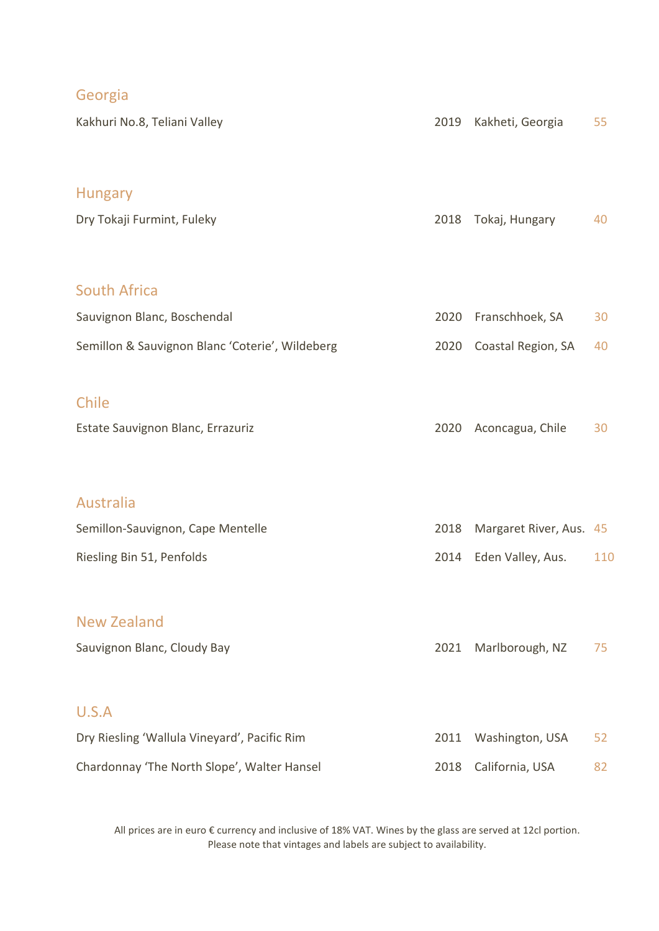|  | $\sim$ | e ye |  |
|--|--------|------|--|
|  |        |      |  |

| Kakhuri No.8, Teliani Valley                       | 2019 | Kakheti, Georgia        | 55  |
|----------------------------------------------------|------|-------------------------|-----|
| <b>Hungary</b><br>Dry Tokaji Furmint, Fuleky       | 2018 | Tokaj, Hungary          | 40  |
| <b>South Africa</b><br>Sauvignon Blanc, Boschendal | 2020 | Franschhoek, SA         | 30  |
| Semillon & Sauvignon Blanc 'Coterie', Wildeberg    | 2020 | Coastal Region, SA      | 40  |
| Chile<br>Estate Sauvignon Blanc, Errazuriz         | 2020 | Aconcagua, Chile        | 30  |
| Australia                                          |      |                         |     |
| Semillon-Sauvignon, Cape Mentelle                  | 2018 | Margaret River, Aus. 45 |     |
| Riesling Bin 51, Penfolds                          | 2014 | Eden Valley, Aus.       | 110 |
| <b>New Zealand</b><br>Sauvignon Blanc, Cloudy Bay  | 2021 | Marlborough, NZ         | 75  |
| U.S.A                                              |      |                         |     |
| Dry Riesling 'Wallula Vineyard', Pacific Rim       | 2011 | Washington, USA         | 52  |
| Chardonnay 'The North Slope', Walter Hansel        | 2018 | California, USA         | 82  |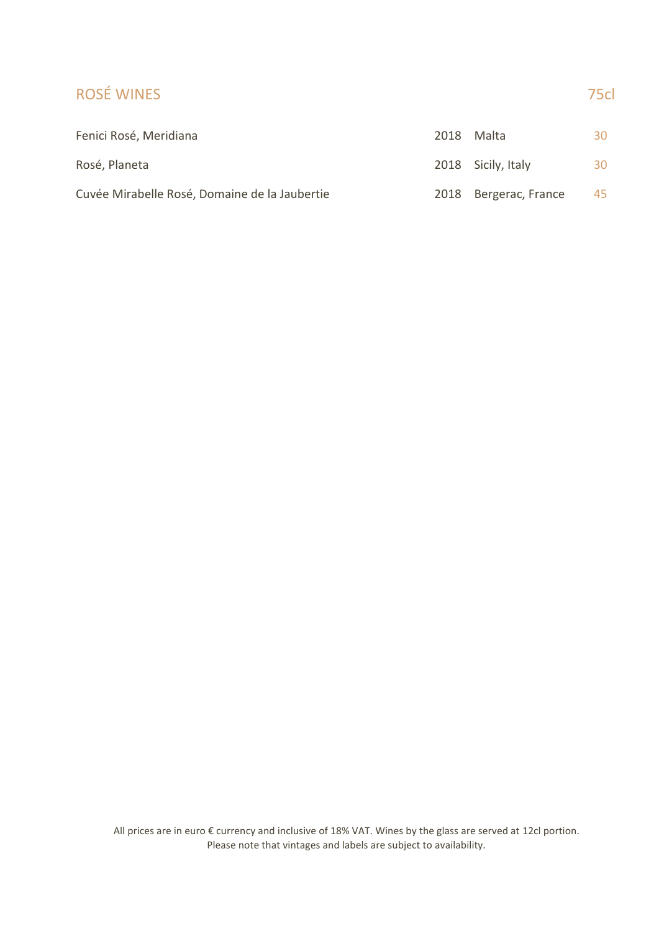### ROSÉ WINES 75cl

| Fenici Rosé, Meridiana                        | 2018 | Malta                 | 30 |
|-----------------------------------------------|------|-----------------------|----|
| Rosé, Planeta                                 |      | 2018 Sicily, Italy    | 30 |
| Cuvée Mirabelle Rosé, Domaine de la Jaubertie |      | 2018 Bergerac, France | 45 |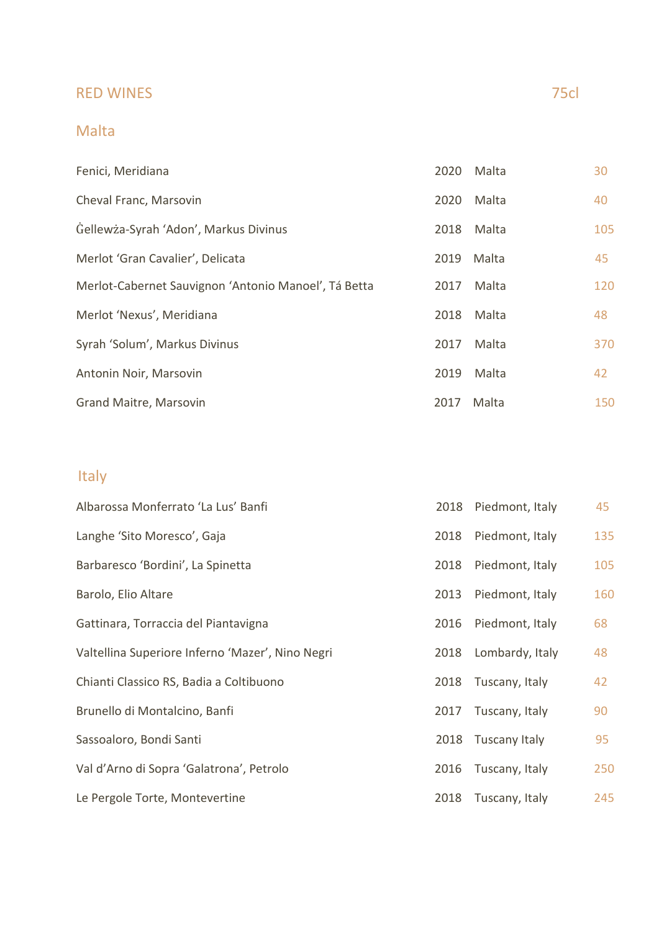## RED WINES 75cl

## Malta

| Fenici, Meridiana                                    | 2020 | Malta | 30  |
|------------------------------------------------------|------|-------|-----|
| Cheval Franc, Marsovin                               | 2020 | Malta | 40  |
| Gellewża-Syrah 'Adon', Markus Divinus                | 2018 | Malta | 105 |
| Merlot 'Gran Cavalier', Delicata                     | 2019 | Malta | 45  |
| Merlot-Cabernet Sauvignon 'Antonio Manoel', Tá Betta | 2017 | Malta | 120 |
| Merlot 'Nexus', Meridiana                            | 2018 | Malta | 48  |
| Syrah 'Solum', Markus Divinus                        | 2017 | Malta | 370 |
| Antonin Noir, Marsovin                               | 2019 | Malta | 42  |
| Grand Maitre, Marsovin                               | 2017 | Malta | 150 |

## Italy

| Albarossa Monferrato 'La Lus' Banfi              | 2018 | Piedmont, Italy | 45  |
|--------------------------------------------------|------|-----------------|-----|
| Langhe 'Sito Moresco', Gaja                      | 2018 | Piedmont, Italy | 135 |
| Barbaresco 'Bordini', La Spinetta                | 2018 | Piedmont, Italy | 105 |
| Barolo, Elio Altare                              | 2013 | Piedmont, Italy | 160 |
| Gattinara, Torraccia del Piantavigna             | 2016 | Piedmont, Italy | 68  |
| Valtellina Superiore Inferno 'Mazer', Nino Negri | 2018 | Lombardy, Italy | 48  |
| Chianti Classico RS, Badia a Coltibuono          | 2018 | Tuscany, Italy  | 42  |
| Brunello di Montalcino, Banfi                    | 2017 | Tuscany, Italy  | 90  |
| Sassoaloro, Bondi Santi                          | 2018 | Tuscany Italy   | 95  |
| Val d'Arno di Sopra 'Galatrona', Petrolo         | 2016 | Tuscany, Italy  | 250 |
| Le Pergole Torte, Montevertine                   | 2018 | Tuscany, Italy  | 245 |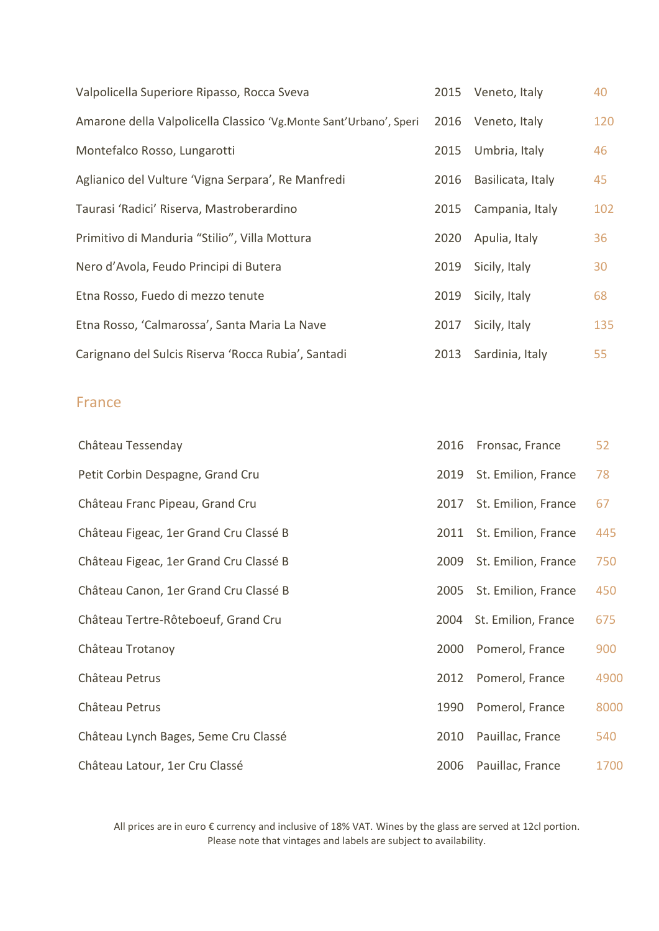| Valpolicella Superiore Ripasso, Rocca Sveva                       | 2015 | Veneto, Italy     | 40  |
|-------------------------------------------------------------------|------|-------------------|-----|
| Amarone della Valpolicella Classico 'Vg.Monte Sant'Urbano', Speri | 2016 | Veneto, Italy     | 120 |
| Montefalco Rosso, Lungarotti                                      | 2015 | Umbria, Italy     | 46  |
| Aglianico del Vulture 'Vigna Serpara', Re Manfredi                | 2016 | Basilicata, Italy | 45  |
| Taurasi 'Radici' Riserva, Mastroberardino                         | 2015 | Campania, Italy   | 102 |
| Primitivo di Manduria "Stilio", Villa Mottura                     | 2020 | Apulia, Italy     | 36  |
| Nero d'Avola, Feudo Principi di Butera                            | 2019 | Sicily, Italy     | 30  |
| Etna Rosso, Fuedo di mezzo tenute                                 | 2019 | Sicily, Italy     | 68  |
| Etna Rosso, 'Calmarossa', Santa Maria La Nave                     | 2017 | Sicily, Italy     | 135 |
| Carignano del Sulcis Riserva 'Rocca Rubia', Santadi               | 2013 | Sardinia, Italy   | 55  |

#### France

| Château Tessenday                      | 2016 | Fronsac, France     | 52   |
|----------------------------------------|------|---------------------|------|
| Petit Corbin Despagne, Grand Cru       | 2019 | St. Emilion, France | 78   |
| Château Franc Pipeau, Grand Cru        | 2017 | St. Emilion, France | 67   |
| Château Figeac, 1er Grand Cru Classé B | 2011 | St. Emilion, France | 445  |
| Château Figeac, 1er Grand Cru Classé B | 2009 | St. Emilion, France | 750  |
| Château Canon, 1er Grand Cru Classé B  | 2005 | St. Emilion, France | 450  |
| Château Tertre-Rôteboeuf, Grand Cru    | 2004 | St. Emilion, France | 675  |
| Château Trotanoy                       | 2000 | Pomerol, France     | 900  |
| Château Petrus                         | 2012 | Pomerol, France     | 4900 |
| Château Petrus                         | 1990 | Pomerol, France     | 8000 |
| Château Lynch Bages, 5eme Cru Classé   | 2010 | Pauillac, France    | 540  |
| Château Latour, 1er Cru Classé         | 2006 | Pauillac, France    | 1700 |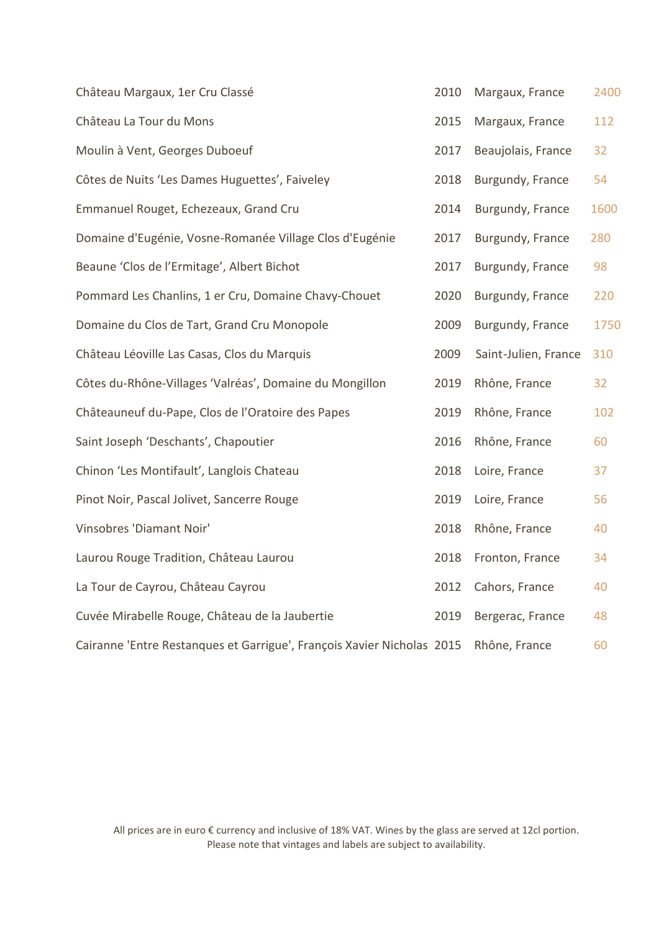| Château Margaux, 1er Cru Classé                                        | 2010 | Margaux, France      | 2400 |
|------------------------------------------------------------------------|------|----------------------|------|
| Château La Tour du Mons                                                | 2015 | Margaux, France      | 112  |
| Moulin à Vent, Georges Duboeuf                                         | 2017 | Beaujolais, France   | 32   |
| Côtes de Nuits 'Les Dames Huguettes', Faiveley                         | 2018 | Burgundy, France     | 54   |
| Emmanuel Rouget, Echezeaux, Grand Cru                                  | 2014 | Burgundy, France     | 1600 |
| Domaine d'Eugénie, Vosne-Romanée Village Clos d'Eugénie                | 2017 | Burgundy, France     | 280  |
| Beaune 'Clos de l'Ermitage', Albert Bichot                             | 2017 | Burgundy, France     | 98   |
| Pommard Les Chanlins, 1 er Cru, Domaine Chavy-Chouet                   | 2020 | Burgundy, France     | 220  |
| Domaine du Clos de Tart, Grand Cru Monopole                            | 2009 | Burgundy, France     | 1750 |
| Château Léoville Las Casas, Clos du Marquis                            | 2009 | Saint-Julien, France | 310  |
| Côtes du-Rhône-Villages 'Valréas', Domaine du Mongillon                | 2019 | Rhône, France        | 32   |
| Châteauneuf du-Pape, Clos de l'Oratoire des Papes                      | 2019 | Rhône, France        | 102  |
| Saint Joseph 'Deschants', Chapoutier                                   | 2016 | Rhône, France        | 60   |
| Chinon 'Les Montifault', Langlois Chateau                              | 2018 | Loire, France        | 37   |
| Pinot Noir, Pascal Jolivet, Sancerre Rouge                             | 2019 | Loire, France        | 56   |
| Vinsobres 'Diamant Noir'                                               | 2018 | Rhône, France        | 40   |
| Laurou Rouge Tradition, Château Laurou                                 | 2018 | Fronton, France      | 34   |
| La Tour de Cayrou, Château Cayrou                                      | 2012 | Cahors, France       | 40   |
| Cuvée Mirabelle Rouge, Château de la Jaubertie                         | 2019 | Bergerac, France     | 48   |
| Cairanne 'Entre Restanques et Garrigue', François Xavier Nicholas 2015 |      | Rhône, France        | 60   |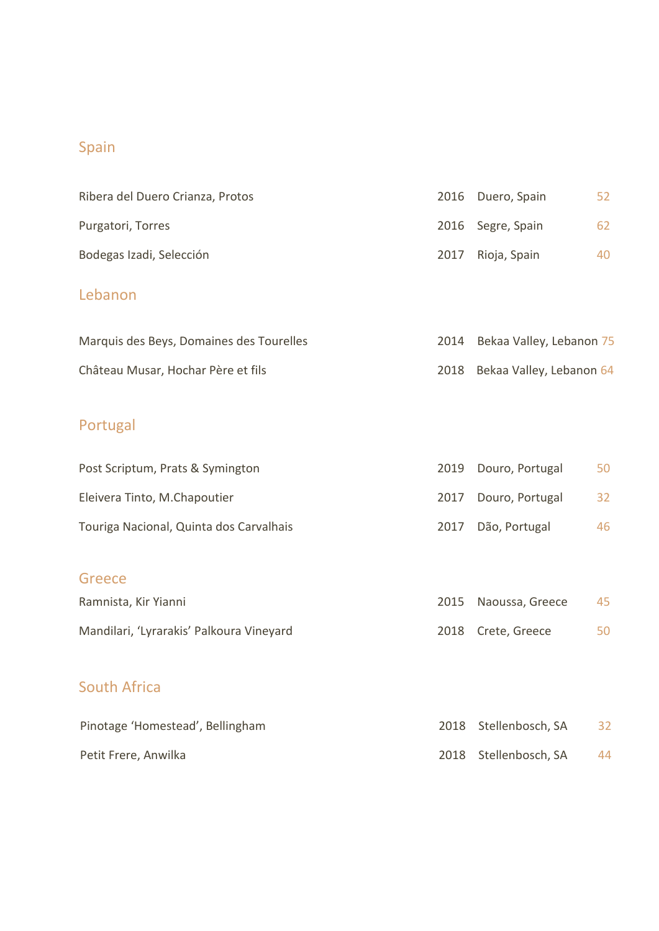# Spain

| Ribera del Duero Crianza, Protos | 2016 Duero, Spain | 52 |
|----------------------------------|-------------------|----|
| Purgatori, Torres                | 2016 Segre, Spain | 62 |
| Bodegas Izadi, Selección         | 2017 Rioja, Spain | 40 |
|                                  |                   |    |

### Lebanon

| Marquis des Beys, Domaines des Tourelles | 2014 Bekaa Valley, Lebanon 75 |
|------------------------------------------|-------------------------------|
| Château Musar, Hochar Père et fils       | 2018 Bekaa Valley, Lebanon 64 |

# Portugal

| Post Scriptum, Prats & Symington        | 2019 Douro, Portugal | 50 |
|-----------------------------------------|----------------------|----|
| Eleivera Tinto, M.Chapoutier            | 2017 Douro, Portugal | 32 |
| Touriga Nacional, Quinta dos Carvalhais | 2017 Dão, Portugal   | 46 |

## Greece

| Ramnista, Kir Yianni                     | 2015 Naoussa, Greece | 45 |
|------------------------------------------|----------------------|----|
| Mandilari, 'Lyrarakis' Palkoura Vineyard | 2018 Crete, Greece   |    |

## South Africa

| Pinotage 'Homestead', Bellingham | 2018 Stellenbosch, SA | 32 |
|----------------------------------|-----------------------|----|
| Petit Frere, Anwilka             | 2018 Stellenbosch, SA | 44 |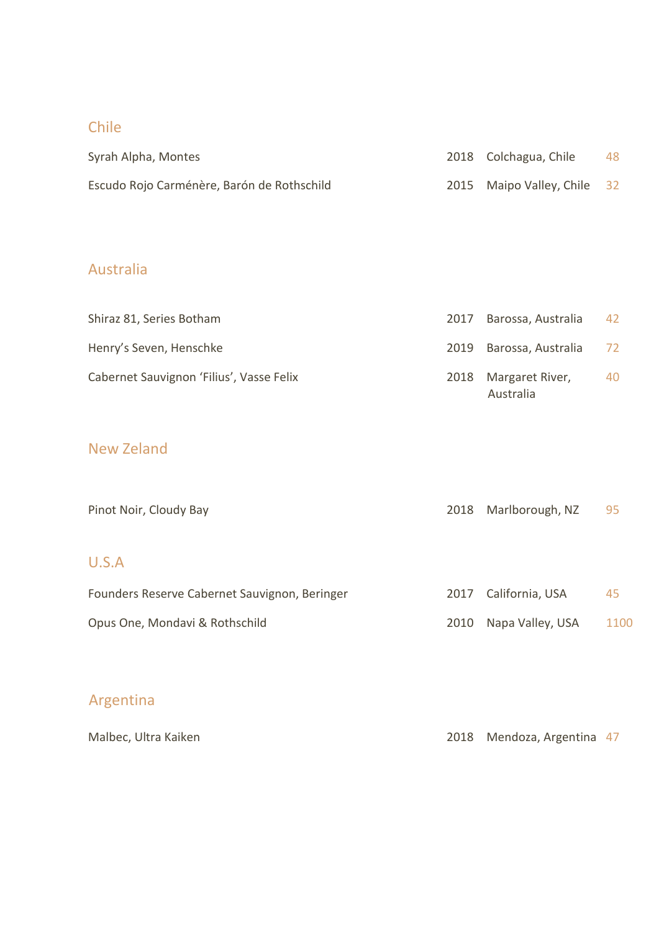### Chile

| Syrah Alpha, Montes                        | 2018 Colchagua, Chile       | 48 |
|--------------------------------------------|-----------------------------|----|
| Escudo Rojo Carménère, Barón de Rothschild | 2015 Maipo Valley, Chile 32 |    |

## Australia

| Shiraz 81, Series Botham                 | 2017 Barossa, Australia           | 42 |
|------------------------------------------|-----------------------------------|----|
| Henry's Seven, Henschke                  | 2019 Barossa, Australia           | 72 |
| Cabernet Sauvignon 'Filius', Vasse Felix | 2018 Margaret River,<br>Australia | 40 |

## New Zeland

| Pinot Noir, Cloudy Bay                        | 2018 | Marlborough, NZ      | 95   |
|-----------------------------------------------|------|----------------------|------|
| U.S.A                                         |      |                      |      |
| Founders Reserve Cabernet Sauvignon, Beringer |      | 2017 California, USA | 45   |
| Opus One, Mondavi & Rothschild                | 2010 | Napa Valley, USA     | 1100 |

# Argentina

| Malbec, Ultra Kaiken |  | 2018 Mendoza, Argentina 47 |  |
|----------------------|--|----------------------------|--|
|----------------------|--|----------------------------|--|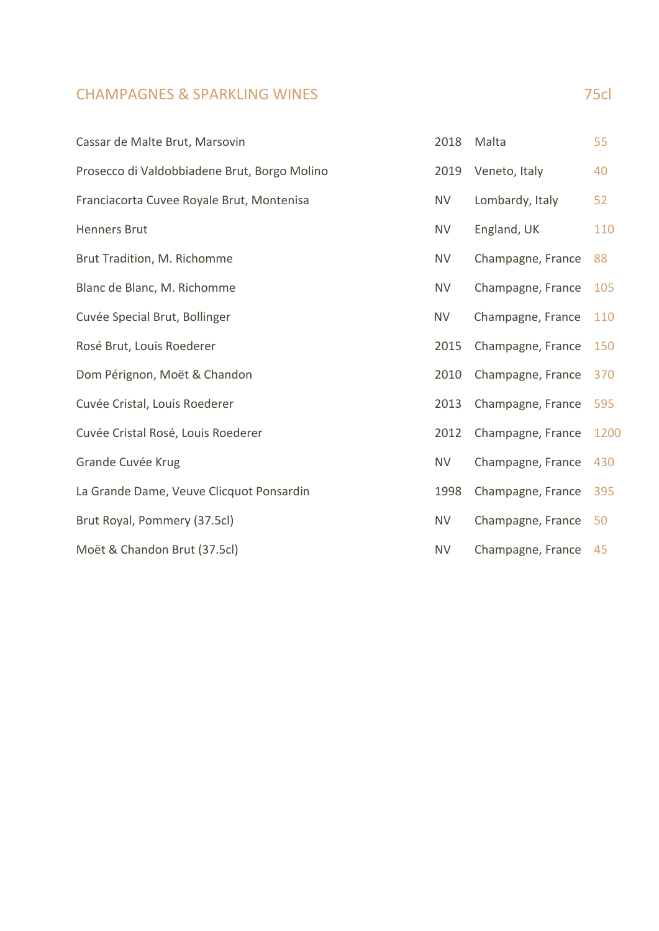### **CHAMPAGNES & SPARKLING WINES** 75cl

| Cassar de Malte Brut, Marsovin               | 2018      | Malta             | 55   |
|----------------------------------------------|-----------|-------------------|------|
| Prosecco di Valdobbiadene Brut, Borgo Molino | 2019      | Veneto, Italy     | 40   |
| Franciacorta Cuvee Royale Brut, Montenisa    | <b>NV</b> | Lombardy, Italy   | 52   |
| <b>Henners Brut</b>                          | <b>NV</b> | England, UK       | 110  |
| Brut Tradition, M. Richomme                  | <b>NV</b> | Champagne, France | 88   |
| Blanc de Blanc, M. Richomme                  | <b>NV</b> | Champagne, France | 105  |
| Cuvée Special Brut, Bollinger                | <b>NV</b> | Champagne, France | 110  |
| Rosé Brut, Louis Roederer                    | 2015      | Champagne, France | 150  |
| Dom Pérignon, Moët & Chandon                 | 2010      | Champagne, France | 370  |
| Cuvée Cristal, Louis Roederer                | 2013      | Champagne, France | 595  |
| Cuvée Cristal Rosé, Louis Roederer           | 2012      | Champagne, France | 1200 |
| Grande Cuvée Krug                            | <b>NV</b> | Champagne, France | 430  |
| La Grande Dame, Veuve Clicquot Ponsardin     | 1998      | Champagne, France | 395  |
| Brut Royal, Pommery (37.5cl)                 | <b>NV</b> | Champagne, France | 50   |
| Moët & Chandon Brut (37.5cl)                 | <b>NV</b> | Champagne, France | 45   |